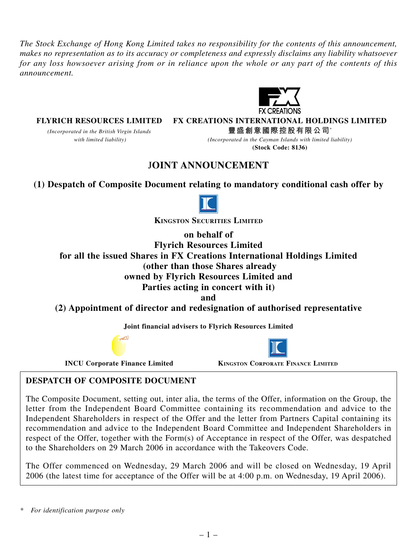*The Stock Exchange of Hong Kong Limited takes no responsibility for the contents of this announcement, makes no representation as to its accuracy or completeness and expressly disclaims any liability whatsoever for any loss howsoever arising from or in reliance upon the whole or any part of the contents of this announcement.*



**FLYRICH RESOURCES LIMITED FX CREATIONS INTERNATIONAL HOLDINGS LIMITED**

*(Incorporated in the British Virgin Islands* **豐盛創意國際控股有限公司**\*  *with limited liability) (Incorporated in the Cayman Islands with limited liability)*

**(Stock Code: 8136)**

# J**OINT ANNOUNCEMENT**

**(1) Despatch of Composite Document relating to mandatory conditional cash offer by**



**KINGSTON SECURITIES LIMITED**

**on behalf of Flyrich Resources Limited for all the issued Shares in FX Creations International Holdings Limited (other than those Shares already owned by Flyrich Resources Limited and Parties acting in concert with it)**

**and**

**(2) Appointment of director and redesignation of authorised representative**

**Joint financial advisers to Flyrich Resources Limited**

INCU

**INCU Corporate Finance Limited KINGSTON CORPORATE FINANCE LIMITED** 

### **DESPATCH OF COMPOSITE DOCUMENT**

The Composite Document, setting out, inter alia, the terms of the Offer, information on the Group, the letter from the Independent Board Committee containing its recommendation and advice to the Independent Shareholders in respect of the Offer and the letter from Partners Capital containing its recommendation and advice to the Independent Board Committee and Independent Shareholders in respect of the Offer, together with the Form(s) of Acceptance in respect of the Offer, was despatched to the Shareholders on 29 March 2006 in accordance with the Takeovers Code.

The Offer commenced on Wednesday, 29 March 2006 and will be closed on Wednesday, 19 April 2006 (the latest time for acceptance of the Offer will be at 4:00 p.m. on Wednesday, 19 April 2006).

*<sup>\*</sup> For identification purpose only*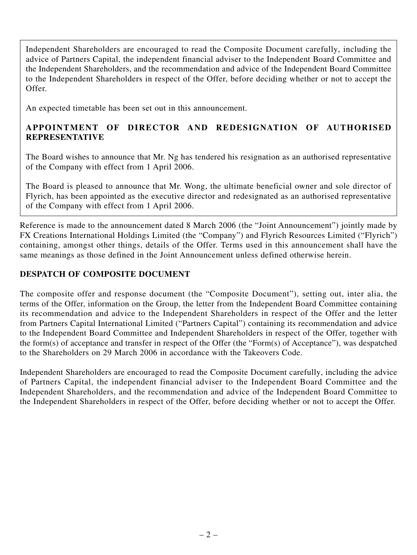Independent Shareholders are encouraged to read the Composite Document carefully, including the advice of Partners Capital, the independent financial adviser to the Independent Board Committee and the Independent Shareholders, and the recommendation and advice of the Independent Board Committee to the Independent Shareholders in respect of the Offer, before deciding whether or not to accept the Offer.

An expected timetable has been set out in this announcement.

# **APPOINTMENT OF DIRECTOR AND REDESIGNATION OF AUTHORISED REPRESENTATIVE**

The Board wishes to announce that Mr. Ng has tendered his resignation as an authorised representative of the Company with effect from 1 April 2006.

The Board is pleased to announce that Mr. Wong, the ultimate beneficial owner and sole director of Flyrich, has been appointed as the executive director and redesignated as an authorised representative of the Company with effect from 1 April 2006.

Reference is made to the announcement dated 8 March 2006 (the "Joint Announcement") jointly made by FX Creations International Holdings Limited (the "Company") and Flyrich Resources Limited ("Flyrich") containing, amongst other things, details of the Offer. Terms used in this announcement shall have the same meanings as those defined in the Joint Announcement unless defined otherwise herein.

# **DESPATCH OF COMPOSITE DOCUMENT**

The composite offer and response document (the "Composite Document"), setting out, inter alia, the terms of the Offer, information on the Group, the letter from the Independent Board Committee containing its recommendation and advice to the Independent Shareholders in respect of the Offer and the letter from Partners Capital International Limited ("Partners Capital") containing its recommendation and advice to the Independent Board Committee and Independent Shareholders in respect of the Offer, together with the form(s) of acceptance and transfer in respect of the Offer (the "Form(s) of Acceptance"), was despatched to the Shareholders on 29 March 2006 in accordance with the Takeovers Code.

Independent Shareholders are encouraged to read the Composite Document carefully, including the advice of Partners Capital, the independent financial adviser to the Independent Board Committee and the Independent Shareholders, and the recommendation and advice of the Independent Board Committee to the Independent Shareholders in respect of the Offer, before deciding whether or not to accept the Offer.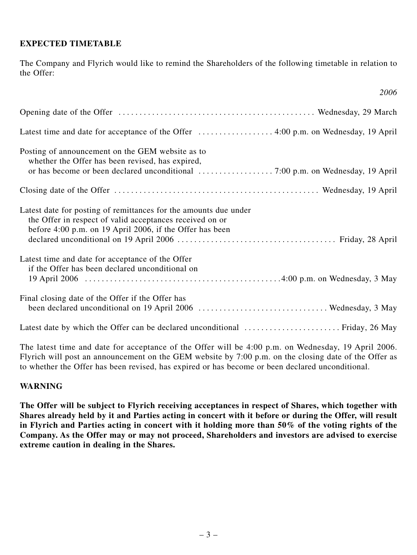### **EXPECTED TIMETABLE**

The Company and Flyrich would like to remind the Shareholders of the following timetable in relation to the Offer:

*2006*

| Posting of announcement on the GEM website as to<br>whether the Offer has been revised, has expired,                                                                                     |
|------------------------------------------------------------------------------------------------------------------------------------------------------------------------------------------|
|                                                                                                                                                                                          |
| Latest date for posting of remittances for the amounts due under<br>the Offer in respect of valid acceptances received on or<br>before 4:00 p.m. on 19 April 2006, if the Offer has been |
| Latest time and date for acceptance of the Offer<br>if the Offer has been declared unconditional on                                                                                      |
| Final closing date of the Offer if the Offer has                                                                                                                                         |
|                                                                                                                                                                                          |

The latest time and date for acceptance of the Offer will be 4:00 p.m. on Wednesday, 19 April 2006. Flyrich will post an announcement on the GEM website by 7:00 p.m. on the closing date of the Offer as to whether the Offer has been revised, has expired or has become or been declared unconditional.

#### **WARNING**

**The Offer will be subject to Flyrich receiving acceptances in respect of Shares, which together with Shares already held by it and Parties acting in concert with it before or during the Offer, will result in Flyrich and Parties acting in concert with it holding more than 50% of the voting rights of the Company. As the Offer may or may not proceed, Shareholders and investors are advised to exercise extreme caution in dealing in the Shares.**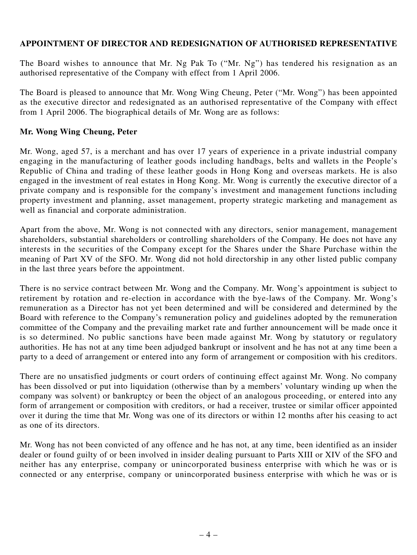### **APPOINTMENT OF DIRECTOR AND REDESIGNATION OF AUTHORISED REPRESENTATIVE**

The Board wishes to announce that Mr. Ng Pak To ("Mr. Ng") has tendered his resignation as an authorised representative of the Company with effect from 1 April 2006.

The Board is pleased to announce that Mr. Wong Wing Cheung, Peter ("Mr. Wong") has been appointed as the executive director and redesignated as an authorised representative of the Company with effect from 1 April 2006. The biographical details of Mr. Wong are as follows:

### **Mr. Wong Wing Cheung, Peter**

Mr. Wong, aged 57, is a merchant and has over 17 years of experience in a private industrial company engaging in the manufacturing of leather goods including handbags, belts and wallets in the People's Republic of China and trading of these leather goods in Hong Kong and overseas markets. He is also engaged in the investment of real estates in Hong Kong. Mr. Wong is currently the executive director of a private company and is responsible for the company's investment and management functions including property investment and planning, asset management, property strategic marketing and management as well as financial and corporate administration.

Apart from the above, Mr. Wong is not connected with any directors, senior management, management shareholders, substantial shareholders or controlling shareholders of the Company. He does not have any interests in the securities of the Company except for the Shares under the Share Purchase within the meaning of Part XV of the SFO. Mr. Wong did not hold directorship in any other listed public company in the last three years before the appointment.

There is no service contract between Mr. Wong and the Company. Mr. Wong's appointment is subject to retirement by rotation and re-election in accordance with the bye-laws of the Company. Mr. Wong's remuneration as a Director has not yet been determined and will be considered and determined by the Board with reference to the Company's remuneration policy and guidelines adopted by the remuneration committee of the Company and the prevailing market rate and further announcement will be made once it is so determined. No public sanctions have been made against Mr. Wong by statutory or regulatory authorities. He has not at any time been adjudged bankrupt or insolvent and he has not at any time been a party to a deed of arrangement or entered into any form of arrangement or composition with his creditors.

There are no unsatisfied judgments or court orders of continuing effect against Mr. Wong. No company has been dissolved or put into liquidation (otherwise than by a members' voluntary winding up when the company was solvent) or bankruptcy or been the object of an analogous proceeding, or entered into any form of arrangement or composition with creditors, or had a receiver, trustee or similar officer appointed over it during the time that Mr. Wong was one of its directors or within 12 months after his ceasing to act as one of its directors.

Mr. Wong has not been convicted of any offence and he has not, at any time, been identified as an insider dealer or found guilty of or been involved in insider dealing pursuant to Parts XIII or XIV of the SFO and neither has any enterprise, company or unincorporated business enterprise with which he was or is connected or any enterprise, company or unincorporated business enterprise with which he was or is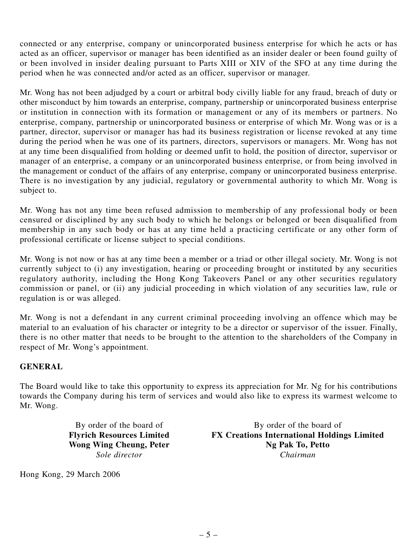connected or any enterprise, company or unincorporated business enterprise for which he acts or has acted as an officer, supervisor or manager has been identified as an insider dealer or been found guilty of or been involved in insider dealing pursuant to Parts XIII or XIV of the SFO at any time during the period when he was connected and/or acted as an officer, supervisor or manager.

Mr. Wong has not been adjudged by a court or arbitral body civilly liable for any fraud, breach of duty or other misconduct by him towards an enterprise, company, partnership or unincorporated business enterprise or institution in connection with its formation or management or any of its members or partners. No enterprise, company, partnership or unincorporated business or enterprise of which Mr. Wong was or is a partner, director, supervisor or manager has had its business registration or license revoked at any time during the period when he was one of its partners, directors, supervisors or managers. Mr. Wong has not at any time been disqualified from holding or deemed unfit to hold, the position of director, supervisor or manager of an enterprise, a company or an unincorporated business enterprise, or from being involved in the management or conduct of the affairs of any enterprise, company or unincorporated business enterprise. There is no investigation by any judicial, regulatory or governmental authority to which Mr. Wong is subject to.

Mr. Wong has not any time been refused admission to membership of any professional body or been censured or disciplined by any such body to which he belongs or belonged or been disqualified from membership in any such body or has at any time held a practicing certificate or any other form of professional certificate or license subject to special conditions.

Mr. Wong is not now or has at any time been a member or a triad or other illegal society. Mr. Wong is not currently subject to (i) any investigation, hearing or proceeding brought or instituted by any securities regulatory authority, including the Hong Kong Takeovers Panel or any other securities regulatory commission or panel, or (ii) any judicial proceeding in which violation of any securities law, rule or regulation is or was alleged.

Mr. Wong is not a defendant in any current criminal proceeding involving an offence which may be material to an evaluation of his character or integrity to be a director or supervisor of the issuer. Finally, there is no other matter that needs to be brought to the attention to the shareholders of the Company in respect of Mr. Wong's appointment.

## **GENERAL**

The Board would like to take this opportunity to express its appreciation for Mr. Ng for his contributions towards the Company during his term of services and would also like to express its warmest welcome to Mr. Wong.

By order of the board of<br> **By order of the board of<br>
FX Creations International Holdin FX Creations International Holdings Limited Wong Wing Cheung, Peter Ng Pak To, Petto** *Sole director Chairman*

Hong Kong, 29 March 2006